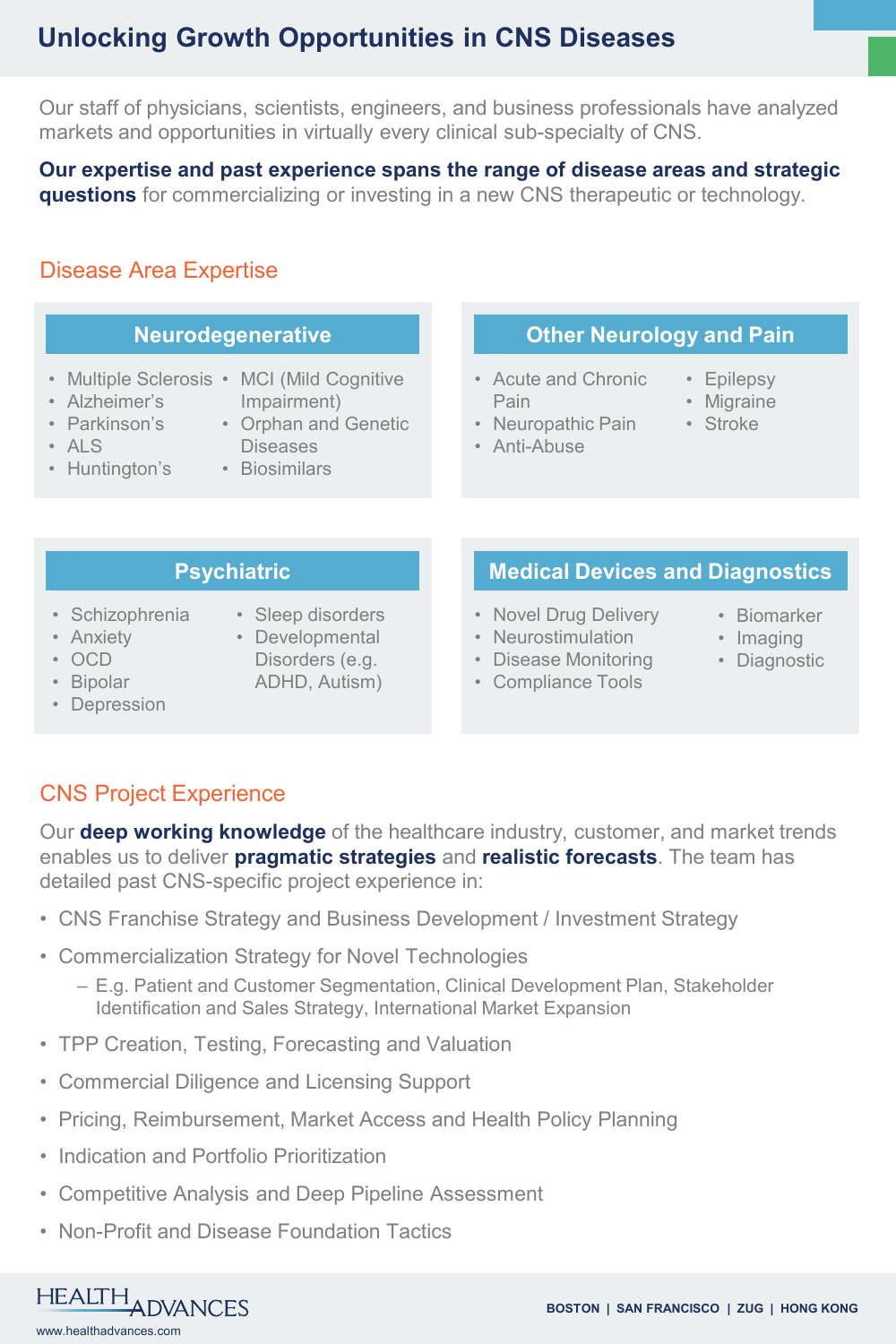# **Unlocking Growth Opportunities in CNS Diseases**

Our staff of physicians, scientists, engineers, and business professionals have analyzed markets and opportunities in virtually every clinical sub-specialty of CNS.

**Our expertise and past experience spans the range of disease areas and strategic questions** for commercializing or investing in a new CNS therapeutic or technology.

## Disease Area Expertise

- Multiple Sclerosis MCI (Mild Cognitive
- Alzheimer's
- **Impairment**)
- Parkinson's • ALS
- Orphan and Genetic
- Huntington's
- Diseases • Biosimilars

## **Neurodegenerative <b>CENET A** Other Neurology and Pain

- Acute and Chronic Pain
- Epilepsy
- Migraine
- 
- Neuropathic Pain • Anti-Abuse
- Stroke
- 
- 

### **Psychiatric**

- Schizophrenia
- Anxiety • OCD
- Sleep disorders • Developmental
- Disorders (e.g.

# **Medical Devices and Diagnostics**

- Novel Drug Delivery
- Neurostimulation
- Disease Monitoring
- Compliance Tools
- Biomarker
- Imaging
- Diagnostic
- Bipolar
- Depression
- ADHD, Autism)

# CNS Project Experience

Our **deep working knowledge** of the healthcare industry, customer, and market trends enables us to deliver **pragmatic strategies** and **realistic forecasts**. The team has detailed past CNS-specific project experience in:

- CNS Franchise Strategy and Business Development / Investment Strategy
- Commercialization Strategy for Novel Technologies
	- E.g. Patient and Customer Segmentation, Clinical Development Plan, Stakeholder Identification and Sales Strategy, International Market Expansion
- TPP Creation, Testing, Forecasting and Valuation
- Commercial Diligence and Licensing Support
- Pricing, Reimbursement, Market Access and Health Policy Planning
- Indication and Portfolio Prioritization
- Competitive Analysis and Deep Pipeline Assessment
- Non-Profit and Disease Foundation Tactics